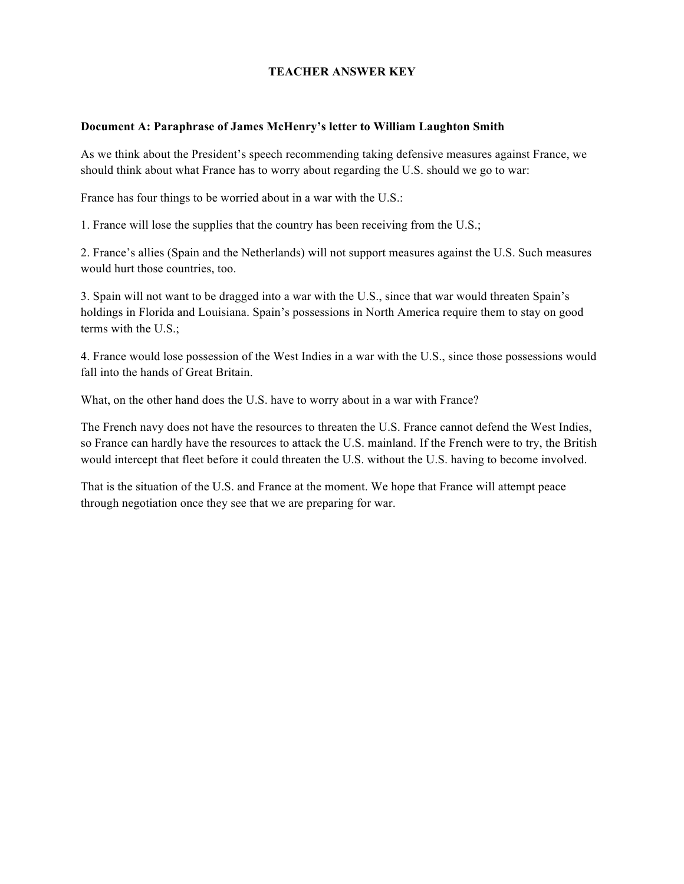## **TEACHER ANSWER KEY**

### **Document A: Paraphrase of James McHenry's letter to William Laughton Smith**

As we think about the President's speech recommending taking defensive measures against France, we should think about what France has to worry about regarding the U.S. should we go to war:

France has four things to be worried about in a war with the U.S.:

1. France will lose the supplies that the country has been receiving from the U.S.;

2. France's allies (Spain and the Netherlands) will not support measures against the U.S. Such measures would hurt those countries, too.

3. Spain will not want to be dragged into a war with the U.S., since that war would threaten Spain's holdings in Florida and Louisiana. Spain's possessions in North America require them to stay on good terms with the U.S.;

4. France would lose possession of the West Indies in a war with the U.S., since those possessions would fall into the hands of Great Britain

What, on the other hand does the U.S. have to worry about in a war with France?

The French navy does not have the resources to threaten the U.S. France cannot defend the West Indies, so France can hardly have the resources to attack the U.S. mainland. If the French were to try, the British would intercept that fleet before it could threaten the U.S. without the U.S. having to become involved.

That is the situation of the U.S. and France at the moment. We hope that France will attempt peace through negotiation once they see that we are preparing for war.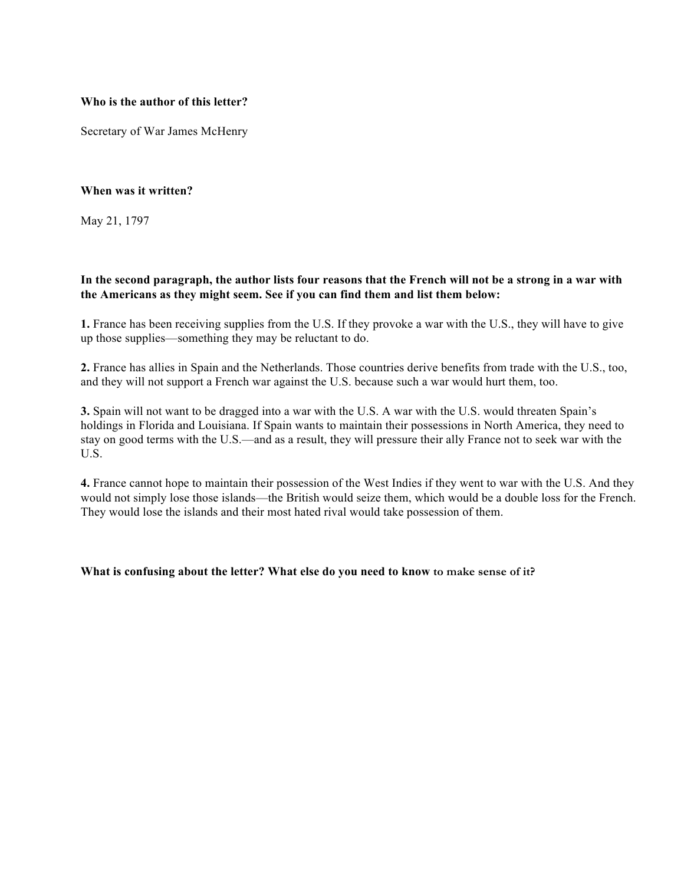## **Who is the author of this letter?**

Secretary of War James McHenry

## **When was it written?**

May 21, 1797

# **In the second paragraph, the author lists four reasons that the French will not be a strong in a war with the Americans as they might seem. See if you can find them and list them below:**

**1.** France has been receiving supplies from the U.S. If they provoke a war with the U.S., they will have to give up those supplies—something they may be reluctant to do.

**2.** France has allies in Spain and the Netherlands. Those countries derive benefits from trade with the U.S., too, and they will not support a French war against the U.S. because such a war would hurt them, too.

**3.** Spain will not want to be dragged into a war with the U.S. A war with the U.S. would threaten Spain's holdings in Florida and Louisiana. If Spain wants to maintain their possessions in North America, they need to stay on good terms with the U.S.—and as a result, they will pressure their ally France not to seek war with the U.S.

**4.** France cannot hope to maintain their possession of the West Indies if they went to war with the U.S. And they would not simply lose those islands—the British would seize them, which would be a double loss for the French. They would lose the islands and their most hated rival would take possession of them.

## **What is confusing about the letter? What else do you need to know to make sense of it?**